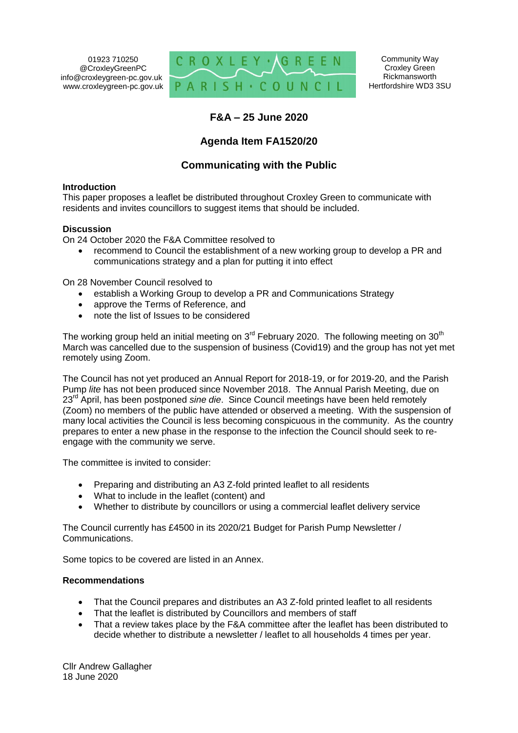01923 710250 @CroxleyGreenPC info@croxleygreen-pc.gov.uk www.croxleygreen-pc.gov.uk



Community Way Croxley Green Rickmansworth Hertfordshire WD3 3SU

# **F&A – 25 June 2020**

# **Agenda Item FA1520/20**

# **Communicating with the Public**

#### **Introduction**

This paper proposes a leaflet be distributed throughout Croxley Green to communicate with residents and invites councillors to suggest items that should be included.

#### **Discussion**

On 24 October 2020 the F&A Committee resolved to

 recommend to Council the establishment of a new working group to develop a PR and communications strategy and a plan for putting it into effect

On 28 November Council resolved to

- establish a Working Group to develop a PR and Communications Strategy
- approve the Terms of Reference, and
- note the list of Issues to be considered

The working group held an initial meeting on  $3<sup>rd</sup>$  February 2020. The following meeting on  $30<sup>th</sup>$ March was cancelled due to the suspension of business (Covid19) and the group has not yet met remotely using Zoom.

The Council has not yet produced an Annual Report for 2018-19, or for 2019-20, and the Parish Pump *lite* has not been produced since November 2018. The Annual Parish Meeting, due on 23rd April, has been postponed *sine die*. Since Council meetings have been held remotely (Zoom) no members of the public have attended or observed a meeting. With the suspension of many local activities the Council is less becoming conspicuous in the community. As the country prepares to enter a new phase in the response to the infection the Council should seek to reengage with the community we serve.

The committee is invited to consider:

- Preparing and distributing an A3 Z-fold printed leaflet to all residents
- What to include in the leaflet (content) and
- Whether to distribute by councillors or using a commercial leaflet delivery service

The Council currently has £4500 in its 2020/21 Budget for Parish Pump Newsletter / Communications.

Some topics to be covered are listed in an Annex.

#### **Recommendations**

- That the Council prepares and distributes an A3 Z-fold printed leaflet to all residents
- That the leaflet is distributed by Councillors and members of staff
- That a review takes place by the F&A committee after the leaflet has been distributed to decide whether to distribute a newsletter / leaflet to all households 4 times per year.

Cllr Andrew Gallagher 18 June 2020